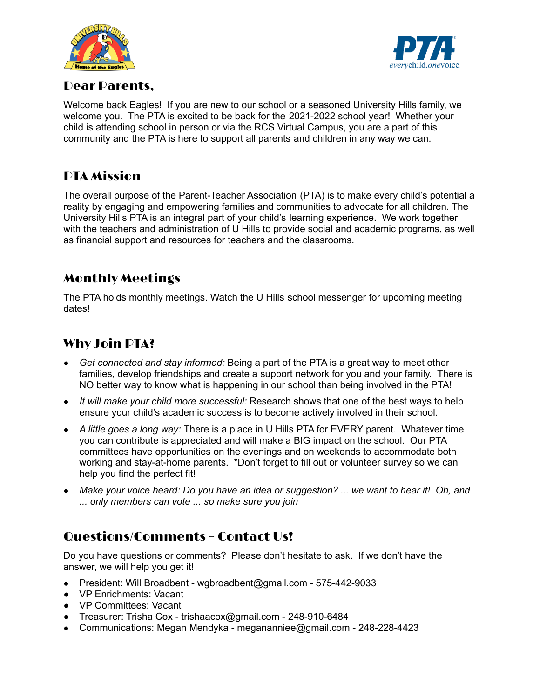



### Dear Parents,

Welcome back Eagles! If you are new to our school or a seasoned University Hills family, we welcome you. The PTA is excited to be back for the 2021-2022 school year! Whether your child is attending school in person or via the RCS Virtual Campus, you are a part of this community and the PTA is here to support all parents and children in any way we can.

# PTA Mission

The overall purpose of the Parent-Teacher Association (PTA) is to make every child's potential a reality by engaging and empowering families and communities to advocate for all children. The University Hills PTA is an integral part of your child's learning experience. We work together with the teachers and administration of U Hills to provide social and academic programs, as well as financial support and resources for teachers and the classrooms.

# Monthly Meetings

The PTA holds monthly meetings. Watch the U Hills school messenger for upcoming meeting dates!

# Why Join PTA?

- *Get connected and stay informed:* Being a part of the PTA is a great way to meet other families, develop friendships and create a support network for you and your family. There is NO better way to know what is happening in our school than being involved in the PTA!
- *● It will make your child more successful:* Research shows that one of the best ways to help ensure your child's academic success is to become actively involved in their school.
- *● A little goes a long way:* There is a place in U Hills PTA for EVERY parent. Whatever time you can contribute is appreciated and will make a BIG impact on the school. Our PTA committees have opportunities on the evenings and on weekends to accommodate both working and stay-at-home parents. \*Don't forget to fill out or volunteer survey so we can help you find the perfect fit!
- Make your voice heard: Do you have an idea or suggestion? ... we want to hear it! Oh, and *... only members can vote ... so make sure you join*

# Questions/Comments – Contact Us!

Do you have questions or comments? Please don't hesitate to ask. If we don't have the answer, we will help you get it!

- President: Will Broadbent wgbroadbent@gmail.com 575-442-9033
- VP Enrichments: Vacant
- VP Committees: Vacant
- Treasurer: Trisha Cox trishaacox@gmail.com 248-910-6484
- *●* Communications: Megan Mendyka megananniee@gmail.com 248-228-4423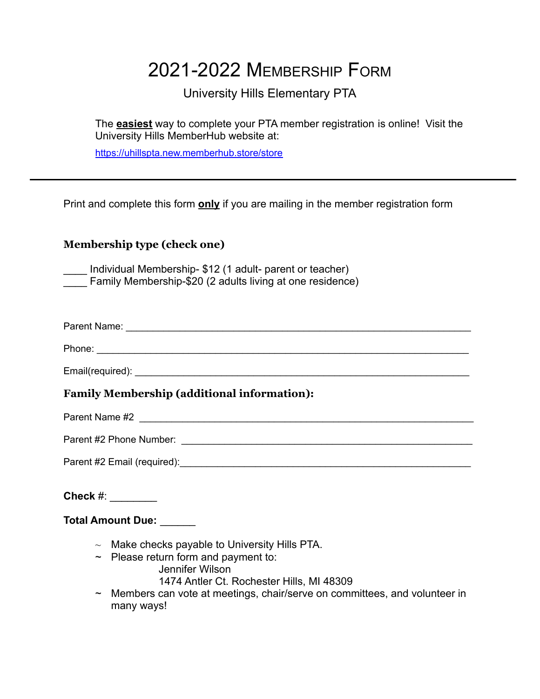# 2021-2022 MEMBERSHIP FORM

## University Hills Elementary PTA

The **easiest** way to complete your PTA member registration is online! Visit the University Hills MemberHub website at:

<https://uhillspta.new.memberhub.store/store>

Print and complete this form **only** if you are mailing in the member registration form

### **Membership type (check one)**

\_\_\_\_ Individual Membership- \$12 (1 adult- parent or teacher) Family Membership-\$20 (2 adults living at one residence)

| Parent Name: |  |  |
|--------------|--|--|
|--------------|--|--|

Phone: \_\_\_\_\_\_\_\_\_\_\_\_\_\_\_\_\_\_\_\_\_\_\_\_\_\_\_\_\_\_\_\_\_\_\_\_\_\_\_\_\_\_\_\_\_\_\_\_\_\_\_\_\_\_\_\_\_\_\_\_\_\_\_\_\_\_\_\_\_

Email(required): <br>
example 2014

### **Family Membership (additional information):**

Parent Name #2 \_\_\_\_\_\_\_\_\_\_\_\_\_\_\_\_\_\_\_\_\_\_\_\_\_\_\_\_\_\_\_\_\_\_\_\_\_\_\_\_\_\_\_\_\_\_\_\_\_\_\_\_\_\_\_\_\_\_\_\_\_\_

Parent #2 Phone Number: \_\_\_\_\_\_\_\_\_\_\_\_\_\_\_\_\_\_\_\_\_\_\_\_\_\_\_\_\_\_\_\_\_\_\_\_\_\_\_\_\_\_\_\_\_\_\_\_\_\_\_\_\_\_

Parent #2 Email (required):  $\blacksquare$ 

**Check** #: \_\_\_\_\_\_\_\_

**Total Amount Due:** \_\_\_\_\_\_

- $\sim$  Make checks payable to University Hills PTA.
- $\sim$  Please return form and payment to:
	- Jennifer Wilson
	- 1474 Antler Ct. Rochester Hills, MI 48309
- ~ Members can vote at meetings, chair/serve on committees, and volunteer in many ways!